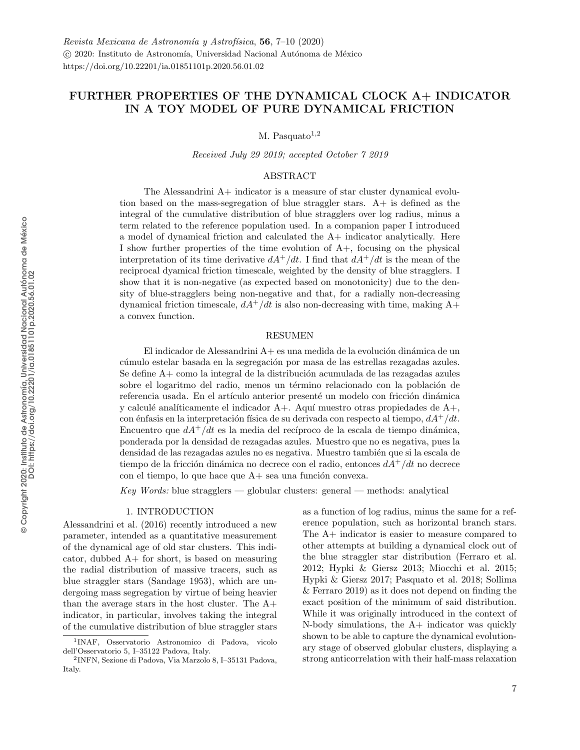# <span id="page-0-1"></span>FURTHER PROPERTIES OF THE DYNAMICAL CLOCK A+ INDICATOR IN A TOY MODEL OF PURE DYNAMICAL FRICTION

M. Pasquato $1,2$ 

Received July 29 2019; accepted October 7 2019

## ABSTRACT

The Alessandrini A+ indicator is a measure of star cluster dynamical evolution based on the mass-segregation of blue straggler stars. A+ is defined as the integral of the cumulative distribution of blue stragglers over log radius, minus a term related to the reference population used. In a companion paper I introduced a model of dynamical friction and calculated the A+ indicator analytically. Here I show further properties of the time evolution of A+, focusing on the physical interpretation of its time derivative  $dA^+/dt$ . I find that  $dA^+/dt$  is the mean of the reciprocal dyamical friction timescale, weighted by the density of blue stragglers. I show that it is non-negative (as expected based on monotonicity) due to the density of blue-stragglers being non-negative and that, for a radially non-decreasing dynamical friction timescale,  $dA^+/dt$  is also non-decreasing with time, making  $A^+$ a convex function.

#### RESUMEN

El indicador de Alessandrini  $A+$  es una medida de la evolución dinámica de un cúmulo estelar basada en la segregación por masa de las estrellas rezagadas azules. Se define  $A<sub>+</sub>$ como la integral de la distribución acumulada de las rezagadas azules sobre el logaritmo del radio, menos un término relacionado con la población de referencia usada. En el artículo anterior presenté un modelo con fricción dinámica y calculé analíticamente el indicador  $A+$ . Aquí muestro otras propiedades de  $A+$ , con énfasis en la interpretación física de su derivada con respecto al tiempo,  $dA^+/dt$ . Encuentro que  $dA^+/dt$  es la media del recíproco de la escala de tiempo dinámica, ponderada por la densidad de rezagadas azules. Muestro que no es negativa, pues la densidad de las rezagadas azules no es negativa. Muestro también que si la escala de tiempo de la fricción dinámica no decrece con el radio, entonces  $dA^+/dt$  no decrece con el tiempo, lo que hace que  $A+$  sea una función convexa.

 $Key Words: blue strangers$   $— globular clusters: general$   $— methods: analytical$ 

#### 1. INTRODUCTION

<span id="page-0-0"></span>Alessandrini et al. (2016) recently introduced a new parameter, intended as a quantitative measurement of the dynamical age of old star clusters. This indicator, dubbed A+ for short, is based on measuring the radial distribution of massive tracers, such as blue straggler stars (Sandage 1953), which are undergoing mass segregation by virtue of being heavier than the average stars in the host cluster. The A+ indicator, in particular, involves taking the integral of the cumulative distribution of blue straggler stars

as a function of log radius, minus the same for a reference population, such as horizontal branch stars. The A+ indicator is easier to measure compared to other attempts at building a dynamical clock out of the blue straggler star distribution (Ferraro et al. 2012; Hypki & Giersz 2013; Miocchi et al. 2015; Hypki & Giersz 2017; Pasquato et al. 2018; Sollima & Ferraro 2019) as it does not depend on finding the exact position of the minimum of said distribution. While it was originally introduced in the context of N-body simulations, the A+ indicator was quickly shown to be able to capture the dynamical evolutionary stage of observed globular clusters, displaying a strong anticorrelation with their half-mass relaxation

<sup>1</sup> INAF, Osservatorio Astronomico di Padova, vicolo dell'Osservatorio 5, I–35122 Padova, Italy.

<sup>2</sup> INFN, Sezione di Padova, Via Marzolo 8, I–35131 Padova, Italy.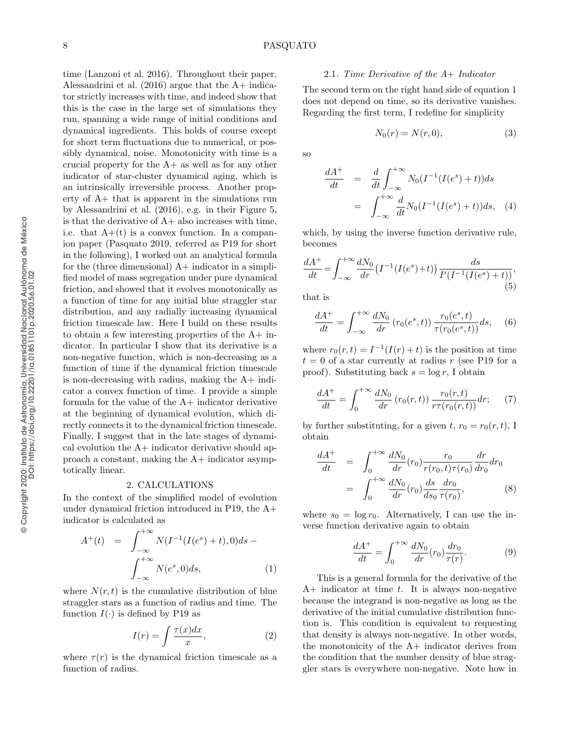#### 2.1. Time Derivative of the A+ Indicator

The second term on the right hand side of equation [1](#page-1-0) does not depend on time, so its derivative vanishes. Regarding the first term, I redefine for simplicity

$$
N_0(r) = N(r, 0),\tag{3}
$$

so

$$
\frac{dA^+}{dt} = \frac{d}{dt} \int_{-\infty}^{+\infty} N_0(I^{-1}(I(e^s) + t))ds
$$

$$
= \int_{-\infty}^{+\infty} \frac{d}{dt} N_0(I^{-1}(I(e^s) + t))ds, \quad (4)
$$

which, by using the inverse function derivative rule, becomes

$$
\frac{dA^{+}}{dt} = \int_{-\infty}^{+\infty} \frac{dN_0}{dr} \left( I^{-1} (I(e^s) + t) \right) \frac{ds}{I' (I^{-1} (I(e^s) + t))},\tag{5}
$$

that is

$$
\frac{dA^{+}}{dt} = \int_{-\infty}^{+\infty} \frac{dN_0}{dr} (r_0(e^s, t)) \frac{r_0(e^s, t)}{\tau(r_0(e^s, t))} ds, \quad (6)
$$

where  $r_0(r, t) = I^{-1}(I(r) + t)$  is the position at time  $t = 0$  of a star currently at radius r (see P19 for a proof). Substituting back  $s = \log r$ , I obtain

<span id="page-1-2"></span>
$$
\frac{dA^{+}}{dt} = \int_{0}^{+\infty} \frac{dN_{0}}{dr} (r_{0}(r,t)) \frac{r_{0}(r,t)}{r\tau(r_{0}(r,t))} dr;\tag{7}
$$

by further substituting, for a given t,  $r_0 = r_0(r, t)$ , I obtain

$$
\frac{dA^{+}}{dt} = \int_{0}^{+\infty} \frac{dN_{0}}{dr} (r_{0}) \frac{r_{0}}{r(r_{0}, t)\tau(r_{0})} \frac{dr}{dr_{0}} dr_{0}
$$
\n
$$
= \int_{0}^{+\infty} \frac{dN_{0}}{dr} (r_{0}) \frac{ds}{ds_{0}} \frac{dr_{0}}{\tau(r_{0})},
$$
\n(8)

where  $s_0 = \log r_0$ . Alternatively, I can use the inverse function derivative again to obtain

<span id="page-1-1"></span>
$$
\frac{dA^{+}}{dt} = \int_{0}^{+\infty} \frac{dN_{0}}{dr}(r_{0}) \frac{dr_{0}}{\tau(r)}.
$$
 (9)

This is a general formula for the derivative of the  $A+$  indicator at time t. It is always non-negative because the integrand is non-negative as long as the derivative of the initial cumulative distribution function is. This condition is equivalent to requesting that density is always non-negative. In other words, the monotonicity of the A+ indicator derives from the condition that the number density of blue straggler stars is everywhere non-negative. Note how in

#### 2. CALCULATIONS

totically linear.

time [\(Lanzoni et al. 2016\)](#page-0-1). Throughout their paper, [Alessandrini et al.](#page-0-1)  $(2016)$  argue that the A+ indicator strictly increases with time, and indeed show that this is the case in the large set of simulations they run, spanning a wide range of initial conditions and dynamical ingredients. This holds of course except for short term fluctuations due to numerical, or possibly dynamical, noise. Monotonicity with time is a crucial property for the A+ as well as for any other indicator of star-cluster dynamical aging, which is an intrinsically irreversible process. Another property of A+ that is apparent in the simulations run by [Alessandrini et al.](#page-0-1) [\(2016\)](#page-0-1), e.g. in their Figure 5, is that the derivative of  $A+$  also increases with time, i.e. that  $A+(t)$  is a convex function. In a companion paper (Pasquato 2019, referred as P19 for short in the following), I worked out an analytical formula for the (three dimensional)  $A+$  indicator in a simplified model of mass segregation under pure dynamical friction, and showed that it evolves monotonically as a function of time for any initial blue straggler star distribution, and any radially increasing dynamical friction timescale law. Here I build on these results to obtain a few interesting properties of the  $A+$  indicator. In particular I show that its derivative is a non-negative function, which is non-decreasing as a function of time if the dynamical friction timescale is non-decreasing with radius, making the A+ indicator a convex function of time. I provide a simple formula for the value of the  $A+$  indicator derivative at the beginning of dynamical evolution, which directly connects it to the dynamical friction timescale. Finally, I suggest that in the late stages of dynamical evolution the A+ indicator derivative should approach a constant, making the A+ indicator asymp-

In the context of the simplified model of evolution under dynamical friction introduced in P19, the A+ indicator is calculated as

<span id="page-1-0"></span>
$$
A^{+}(t) = \int_{-\infty}^{+\infty} N(I^{-1}(I(e^{s}) + t), 0) ds - \int_{-\infty}^{+\infty} N(e^{s}, 0) ds,
$$
 (1)

where  $N(r, t)$  is the cumulative distribution of blue straggler stars as a function of radius and time. The function  $I(\cdot)$  is defined by P19 as

$$
I(r) = \int \frac{\tau(x)dx}{x},\tag{2}
$$

where  $\tau(r)$  is the dynamical friction timescale as a function of radius.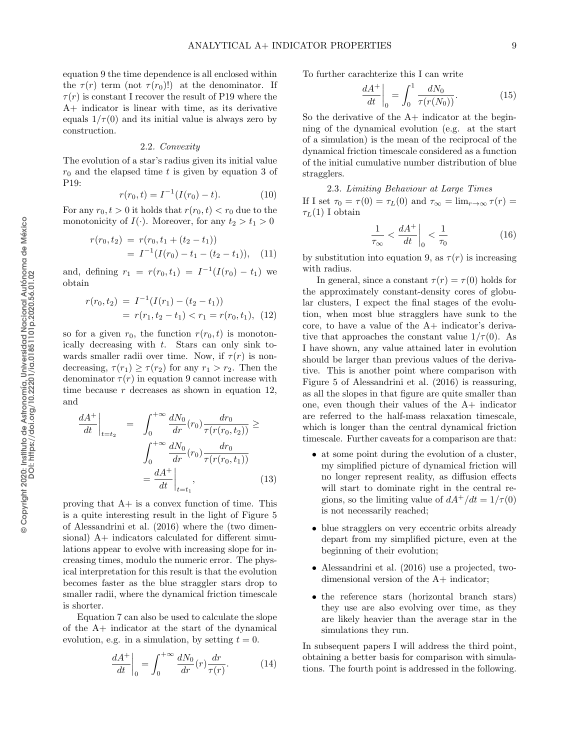equation [9](#page-1-1) the time dependence is all enclosed within the  $\tau(r)$  term (not  $\tau(r_0)!$ ) at the denominator. If  $\tau(r)$  is constant I recover the result of P19 where the A+ indicator is linear with time, as its derivative equals  $1/\tau(0)$  and its initial value is always zero by construction.

#### 2.2. Convexity

The evolution of a star's radius given its initial value  $r_0$  and the elapsed time t is given by equation 3 of P19:

$$
r(r_0, t) = I^{-1}(I(r_0) - t).
$$
 (10)

For any  $r_0, t > 0$  it holds that  $r(r_0, t) < r_0$  due to the monotonicity of  $I(\cdot)$ . Moreover, for any  $t_2 > t_1 > 0$ 

$$
r(r_0, t_2) = r(r_0, t_1 + (t_2 - t_1))
$$
  
=  $I^{-1}(I(r_0) - t_1 - (t_2 - t_1)),$  (11)

and, defining  $r_1 = r(r_0, t_1) = I^{-1}(I(r_0) - t_1)$  we obtain

<span id="page-2-0"></span>
$$
r(r_0, t_2) = I^{-1}(I(r_1) - (t_2 - t_1))
$$
  
=  $r(r_1, t_2 - t_1) < r_1 = r(r_0, t_1),$  (12)

so for a given  $r_0$ , the function  $r(r_0, t)$  is monotonically decreasing with  $t$ . Stars can only sink towards smaller radii over time. Now, if  $\tau(r)$  is nondecreasing,  $\tau(r_1) \geq \tau(r_2)$  for any  $r_1 > r_2$ . Then the denominator  $\tau(r)$  in equation [9](#page-1-1) cannot increase with time because  $r$  decreases as shown in equation [12,](#page-2-0) and

$$
\frac{dA^{+}}{dt}\Big|_{t=t_{2}} = \int_{0}^{+\infty} \frac{dN_{0}}{dr}(r_{0}) \frac{dr_{0}}{\tau(r(r_{0}, t_{2}))} \geq
$$
\n
$$
\int_{0}^{+\infty} \frac{dN_{0}}{dr}(r_{0}) \frac{dr_{0}}{\tau(r(r_{0}, t_{1}))}
$$
\n
$$
= \frac{dA^{+}}{dt}\Big|_{t=t_{1}}, \qquad (13)
$$

proving that A+ is a convex function of time. This is a quite interesting result in the light of Figure 5 of [Alessandrini et al.](#page-0-1) [\(2016\)](#page-0-1) where the (two dimensional) A+ indicators calculated for different simulations appear to evolve with increasing slope for increasing times, modulo the numeric error. The physical interpretation for this result is that the evolution becomes faster as the blue straggler stars drop to smaller radii, where the dynamical friction timescale is shorter.

Equation [7](#page-1-2) can also be used to calculate the slope of the A+ indicator at the start of the dynamical evolution, e.g. in a simulation, by setting  $t = 0$ .

$$
\left. \frac{dA^+}{dt} \right|_0 = \int_0^{+\infty} \frac{dN_0}{dr} (r) \frac{dr}{\tau(r)}.
$$
 (14)

To further carachterize this I can write

$$
\left. \frac{dA^{+}}{dt} \right|_{0} = \int_{0}^{1} \frac{dN_{0}}{\tau(r(N_{0}))}.
$$
 (15)

So the derivative of the  $A+$  indicator at the beginning of the dynamical evolution (e.g. at the start of a simulation) is the mean of the reciprocal of the dynamical friction timescale considered as a function of the initial cumulative number distribution of blue stragglers.

2.3. Limiting Behaviour at Large Times If I set  $\tau_0 = \tau(0) = \tau_L(0)$  and  $\tau_\infty = \lim_{r \to \infty} \tau(r) =$  $\tau_L(1)$  I obtain

$$
\frac{1}{\tau_{\infty}} < \frac{dA^{+}}{dt} \bigg|_{0} < \frac{1}{\tau_{0}} \tag{16}
$$

by substitution into equation [9,](#page-1-1) as  $\tau(r)$  is increasing with radius.

In general, since a constant  $\tau(r) = \tau(0)$  holds for the approximately constant-density cores of globular clusters, I expect the final stages of the evolution, when most blue stragglers have sunk to the core, to have a value of the A+ indicator's derivative that approaches the constant value  $1/\tau(0)$ . As I have shown, any value attained later in evolution should be larger than previous values of the derivative. This is another point where comparison with Figure 5 of [Alessandrini et al.](#page-0-1) [\(2016\)](#page-0-1) is reassuring, as all the slopes in that figure are quite smaller than one, even though their values of the A+ indicator are referred to the half-mass relaxation timescale, which is longer than the central dynamical friction timescale. Further caveats for a comparison are that:

- at some point during the evolution of a cluster, my simplified picture of dynamical friction will no longer represent reality, as diffusion effects will start to dominate right in the central regions, so the limiting value of  $dA^+/dt = 1/\tau(0)$ is not necessarily reached;
- blue stragglers on very eccentric orbits already depart from my simplified picture, even at the beginning of their evolution;
- [Alessandrini et al.](#page-0-1) [\(2016\)](#page-0-1) use a projected, twodimensional version of the A+ indicator;
- the reference stars (horizontal branch stars) they use are also evolving over time, as they are likely heavier than the average star in the simulations they run.

In subsequent papers I will address the third point, obtaining a better basis for comparison with simulations. The fourth point is addressed in the following.